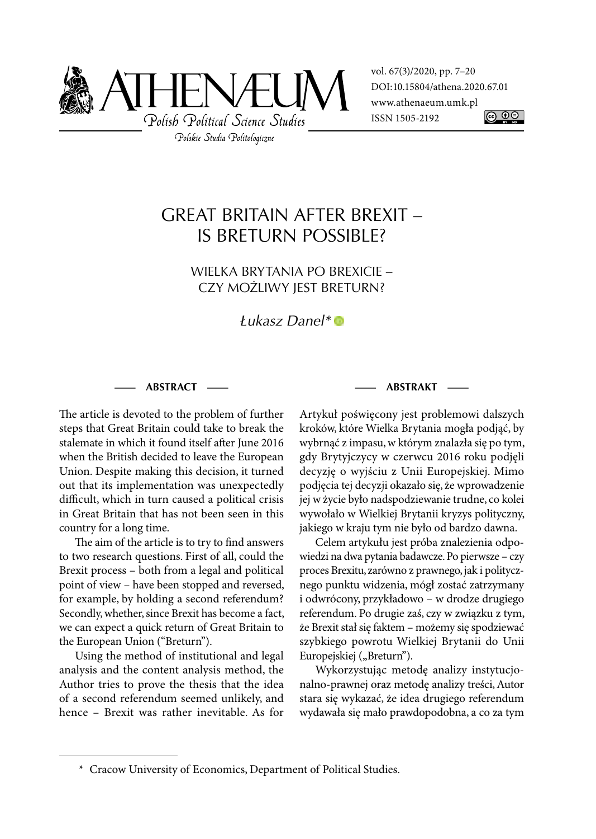

vol. 67(3)/2020, pp. 7–20 DOI: 10.15804/athena.2020.67.01 www.athenaeum.umk.pl ISSN 1505-2192 <u>@ 00</u>

# GREAT BRITAIN AFTER BREXIT – IS BRETURN POSSIBLE?

WIELKA BRYTANIA PO BREXICIE – CZY MOŻLIWY JEST BRETURN?

Łukasz Danel\*

#### **— ABSTRACT —**

The article is devoted to the problem of further steps that Great Britain could take to break the stalemate in which it found itself after June 2016 when the British decided to leave the European Union. Despite making this decision, it turned out that its implementation was unexpectedly difficult, which in turn caused a political crisis in Great Britain that has not been seen in this country for a long time.

The aim of the article is to try to find answers to two research questions. First of all, could the Brexit process – both from a legal and political point of view – have been stopped and reversed, for example, by holding a second referendum? Secondly, whether, since Brexit has become a fact, we can expect a quick return of Great Britain to the European Union ("Breturn").

Using the method of institutional and legal analysis and the content analysis method, the Author tries to prove the thesis that the idea of a second referendum seemed unlikely, and hence – Brexit was rather inevitable. As for **— ABSTRAKT —**

Artykuł poświęcony jest problemowi dalszych kroków, które Wielka Brytania mogła podjąć, by wybrnąć z impasu, w którym znalazła się po tym, gdy Brytyjczycy w czerwcu 2016 roku podjęli decyzję o wyjściu z Unii Europejskiej. Mimo podjęcia tej decyzji okazało się, że wprowadzenie jej w życie było nadspodziewanie trudne, co kolei wywołało w Wielkiej Brytanii kryzys polityczny, jakiego w kraju tym nie było od bardzo dawna.

Celem artykułu jest próba znalezienia odpowiedzi na dwa pytania badawcze. Po pierwsze – czy proces Brexitu, zarówno z prawnego, jak i politycznego punktu widzenia, mógł zostać zatrzymany i odwrócony, przykładowo – w drodze drugiego referendum. Po drugie zaś, czy w związku z tym, że Brexit stał się faktem – możemy się spodziewać szybkiego powrotu Wielkiej Brytanii do Unii Europejskiej ("Breturn").

Wykorzystując metodę analizy instytucjonalno-prawnej oraz metodę analizy treści, Autor stara się wykazać, że idea drugiego referendum wydawała się mało prawdopodobna, a co za tym

 <sup>\*</sup> Cracow University of Economics, Department of Political Studies.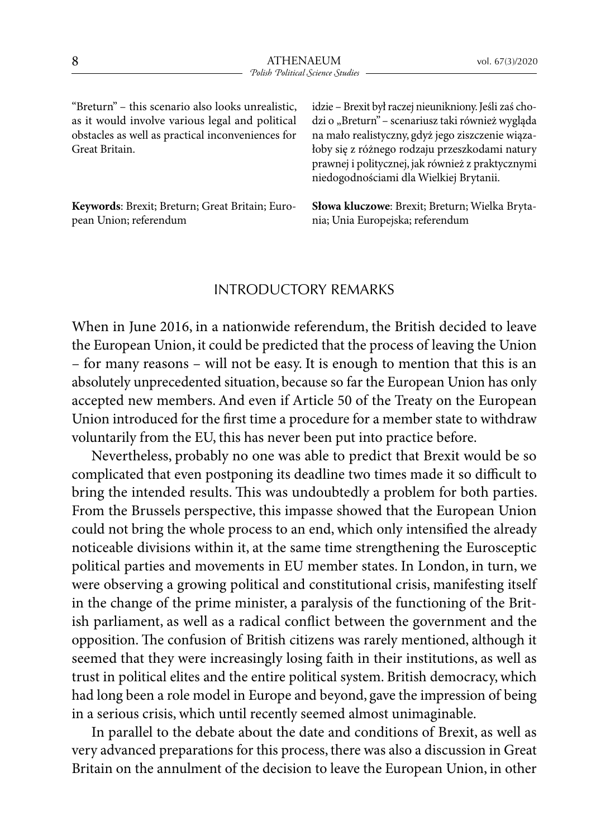"Breturn" – this scenario also looks unrealistic, as it would involve various legal and political obstacles as well as practical inconveniences for Great Britain.

**Keywords**: Brexit; Breturn; Great Britain; European Union; referendum

idzie – Brexit był raczej nieunikniony. Jeśli zaś chodzi o "Breturn" – scenariusz taki również wygląda na mało realistyczny, gdyż jego ziszczenie wiązałoby się z różnego rodzaju przeszkodami natury prawnej i politycznej, jak również z praktycznymi niedogodnościami dla Wielkiej Brytanii.

**Słowa kluczowe**: Brexit; Breturn; Wielka Brytania; Unia Europejska; referendum

## INTRODUCTORY REMARKS

When in June 2016, in a nationwide referendum, the British decided to leave the European Union, it could be predicted that the process of leaving the Union – for many reasons – will not be easy. It is enough to mention that this is an absolutely unprecedented situation, because so far the European Union has only accepted new members. And even if Article 50 of the Treaty on the European Union introduced for the first time a procedure for a member state to withdraw voluntarily from the EU, this has never been put into practice before.

Nevertheless, probably no one was able to predict that Brexit would be so complicated that even postponing its deadline two times made it so difficult to bring the intended results. This was undoubtedly a problem for both parties. From the Brussels perspective, this impasse showed that the European Union could not bring the whole process to an end, which only intensified the already noticeable divisions within it, at the same time strengthening the Eurosceptic political parties and movements in EU member states. In London, in turn, we were observing a growing political and constitutional crisis, manifesting itself in the change of the prime minister, a paralysis of the functioning of the British parliament, as well as a radical conflict between the government and the opposition. The confusion of British citizens was rarely mentioned, although it seemed that they were increasingly losing faith in their institutions, as well as trust in political elites and the entire political system. British democracy, which had long been a role model in Europe and beyond, gave the impression of being in a serious crisis, which until recently seemed almost unimaginable.

In parallel to the debate about the date and conditions of Brexit, as well as very advanced preparations for this process, there was also a discussion in Great Britain on the annulment of the decision to leave the European Union, in other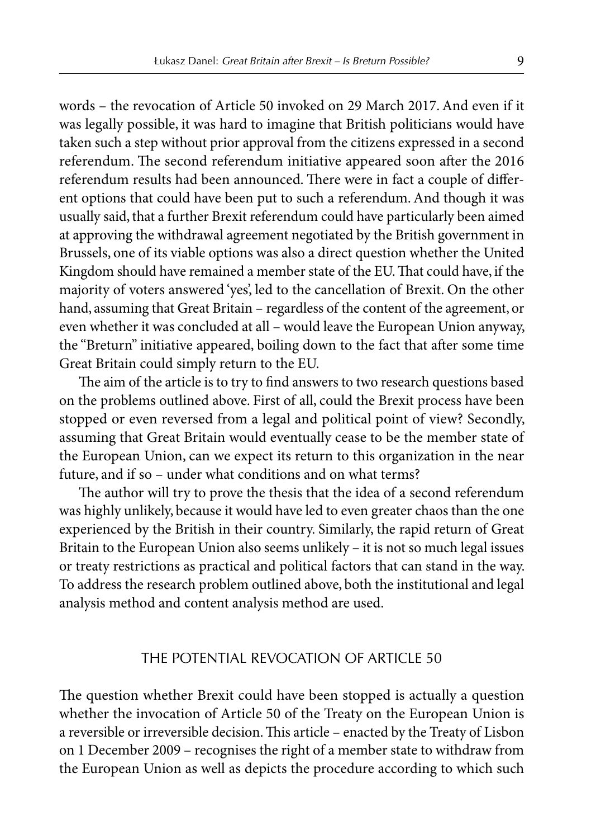words – the revocation of Article 50 invoked on 29 March 2017. And even if it was legally possible, it was hard to imagine that British politicians would have taken such a step without prior approval from the citizens expressed in a second referendum. The second referendum initiative appeared soon after the 2016 referendum results had been announced. There were in fact a couple of different options that could have been put to such a referendum. And though it was usually said, that a further Brexit referendum could have particularly been aimed at approving the withdrawal agreement negotiated by the British government in Brussels, one of its viable options was also a direct question whether the United Kingdom should have remained a member state of the EU. That could have, if the majority of voters answered 'yes', led to the cancellation of Brexit. On the other hand, assuming that Great Britain – regardless of the content of the agreement, or even whether it was concluded at all – would leave the European Union anyway, the "Breturn" initiative appeared, boiling down to the fact that after some time Great Britain could simply return to the EU.

The aim of the article is to try to find answers to two research questions based on the problems outlined above. First of all, could the Brexit process have been stopped or even reversed from a legal and political point of view? Secondly, assuming that Great Britain would eventually cease to be the member state of the European Union, can we expect its return to this organization in the near future, and if so – under what conditions and on what terms?

The author will try to prove the thesis that the idea of a second referendum was highly unlikely, because it would have led to even greater chaos than the one experienced by the British in their country. Similarly, the rapid return of Great Britain to the European Union also seems unlikely – it is not so much legal issues or treaty restrictions as practical and political factors that can stand in the way. To address the research problem outlined above, both the institutional and legal analysis method and content analysis method are used.

## THE POTENTIAL REVOCATION OF ARTICLE 50

The question whether Brexit could have been stopped is actually a question whether the invocation of Article 50 of the Treaty on the European Union is a reversible or irreversible decision. This article – enacted by the Treaty of Lisbon on 1 December 2009 – recognises the right of a member state to withdraw from the European Union as well as depicts the procedure according to which such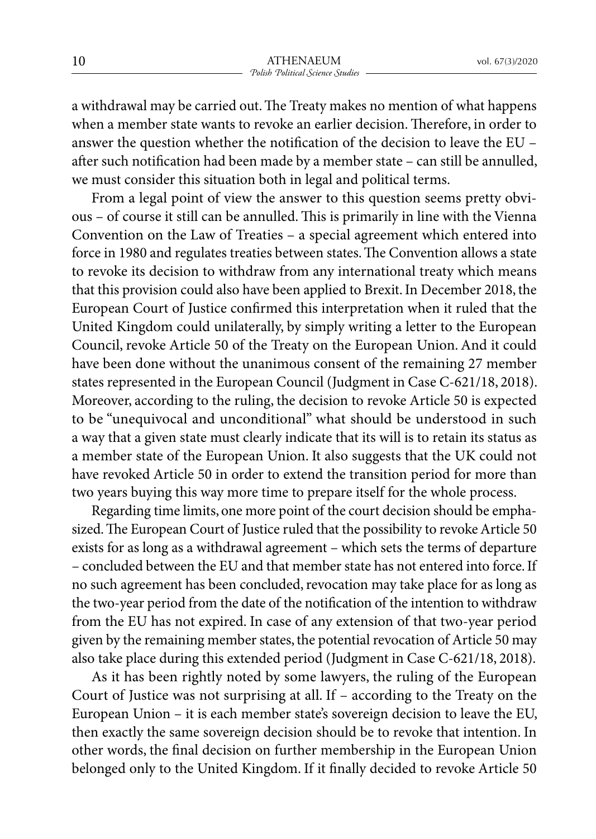a withdrawal may be carried out. The Treaty makes no mention of what happens when a member state wants to revoke an earlier decision. Therefore, in order to answer the question whether the notification of the decision to leave the EU – after such notification had been made by a member state – can still be annulled, we must consider this situation both in legal and political terms.

From a legal point of view the answer to this question seems pretty obvious – of course it still can be annulled. This is primarily in line with the Vienna Convention on the Law of Treaties – a special agreement which entered into force in 1980 and regulates treaties between states. The Convention allows a state to revoke its decision to withdraw from any international treaty which means that this provision could also have been applied to Brexit. In December 2018, the European Court of Justice confirmed this interpretation when it ruled that the United Kingdom could unilaterally, by simply writing a letter to the European Council, revoke Article 50 of the Treaty on the European Union. And it could have been done without the unanimous consent of the remaining 27 member states represented in the European Council (Judgment in Case C-621/18, 2018). Moreover, according to the ruling, the decision to revoke Article 50 is expected to be "unequivocal and unconditional" what should be understood in such a way that a given state must clearly indicate that its will is to retain its status as a member state of the European Union. It also suggests that the UK could not have revoked Article 50 in order to extend the transition period for more than two years buying this way more time to prepare itself for the whole process.

Regarding time limits, one more point of the court decision should be emphasized. The European Court of Justice ruled that the possibility to revoke Article 50 exists for as long as a withdrawal agreement – which sets the terms of departure – concluded between the EU and that member state has not entered into force. If no such agreement has been concluded, revocation may take place for as long as the two-year period from the date of the notification of the intention to withdraw from the EU has not expired. In case of any extension of that two-year period given by the remaining member states, the potential revocation of Article 50 may also take place during this extended period (Judgment in Case C-621/18, 2018).

As it has been rightly noted by some lawyers, the ruling of the European Court of Justice was not surprising at all. If – according to the Treaty on the European Union – it is each member state's sovereign decision to leave the EU, then exactly the same sovereign decision should be to revoke that intention. In other words, the final decision on further membership in the European Union belonged only to the United Kingdom. If it finally decided to revoke Article 50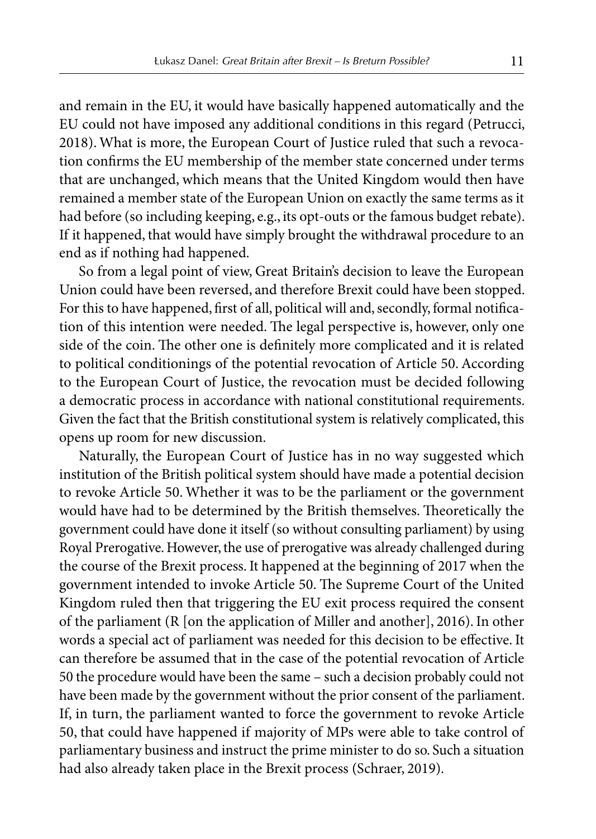and remain in the EU, it would have basically happened automatically and the EU could not have imposed any additional conditions in this regard (Petrucci, 2018). What is more, the European Court of Justice ruled that such a revocation confirms the EU membership of the member state concerned under terms that are unchanged, which means that the United Kingdom would then have remained a member state of the European Union on exactly the same terms as it had before (so including keeping, e.g., its opt-outs or the famous budget rebate). If it happened, that would have simply brought the withdrawal procedure to an end as if nothing had happened.

So from a legal point of view, Great Britain's decision to leave the European Union could have been reversed, and therefore Brexit could have been stopped. For this to have happened, first of all, political will and, secondly, formal notification of this intention were needed. The legal perspective is, however, only one side of the coin. The other one is definitely more complicated and it is related to political conditionings of the potential revocation of Article 50. According to the European Court of Justice, the revocation must be decided following a democratic process in accordance with national constitutional requirements. Given the fact that the British constitutional system is relatively complicated, this opens up room for new discussion.

Naturally, the European Court of Justice has in no way suggested which institution of the British political system should have made a potential decision to revoke Article 50. Whether it was to be the parliament or the government would have had to be determined by the British themselves. Theoretically the government could have done it itself (so without consulting parliament) by using Royal Prerogative. However, the use of prerogative was already challenged during the course of the Brexit process. It happened at the beginning of 2017 when the government intended to invoke Article 50. The Supreme Court of the United Kingdom ruled then that triggering the EU exit process required the consent of the parliament (R [on the application of Miller and another], 2016). In other words a special act of parliament was needed for this decision to be effective. It can therefore be assumed that in the case of the potential revocation of Article 50 the procedure would have been the same – such a decision probably could not have been made by the government without the prior consent of the parliament. If, in turn, the parliament wanted to force the government to revoke Article 50, that could have happened if majority of MPs were able to take control of parliamentary business and instruct the prime minister to do so. Such a situation had also already taken place in the Brexit process (Schraer, 2019).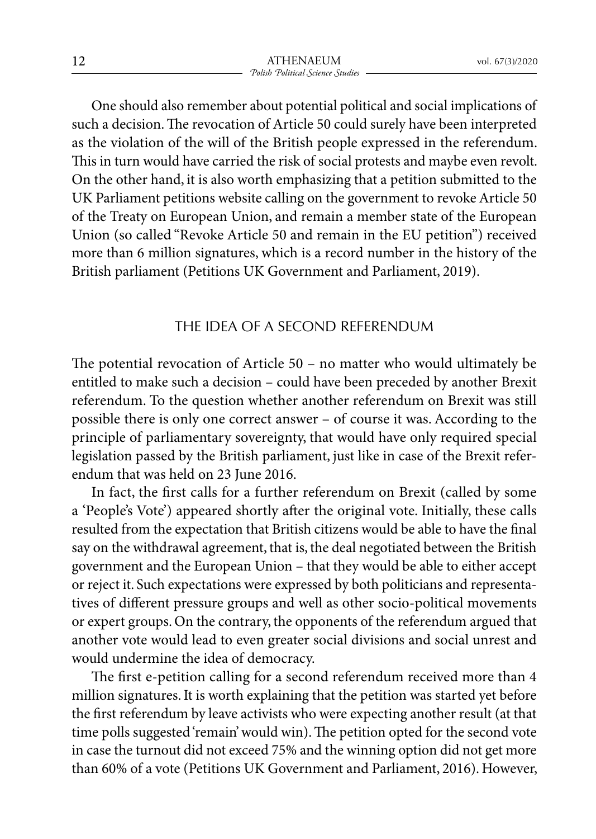One should also remember about potential political and social implications of such a decision. The revocation of Article 50 could surely have been interpreted as the violation of the will of the British people expressed in the referendum. This in turn would have carried the risk of social protests and maybe even revolt. On the other hand, it is also worth emphasizing that a petition submitted to the UK Parliament petitions website calling on the government to revoke Article 50 of the Treaty on European Union, and remain a member state of the European Union (so called "Revoke Article 50 and remain in the EU petition") received more than 6 million signatures, which is a record number in the history of the British parliament (Petitions UK Government and Parliament, 2019).

#### THE IDEA OF A SECOND REFERENDUM

The potential revocation of Article 50 – no matter who would ultimately be entitled to make such a decision – could have been preceded by another Brexit referendum. To the question whether another referendum on Brexit was still possible there is only one correct answer – of course it was. According to the principle of parliamentary sovereignty, that would have only required special legislation passed by the British parliament, just like in case of the Brexit referendum that was held on 23 June 2016.

In fact, the first calls for a further referendum on Brexit (called by some a 'People's Vote') appeared shortly after the original vote. Initially, these calls resulted from the expectation that British citizens would be able to have the final say on the withdrawal agreement, that is, the deal negotiated between the British government and the European Union – that they would be able to either accept or reject it. Such expectations were expressed by both politicians and representatives of different pressure groups and well as other socio-political movements or expert groups. On the contrary, the opponents of the referendum argued that another vote would lead to even greater social divisions and social unrest and would undermine the idea of democracy.

The first e-petition calling for a second referendum received more than 4 million signatures. It is worth explaining that the petition was started yet before the first referendum by leave activists who were expecting another result (at that time polls suggested 'remain' would win). The petition opted for the second vote in case the turnout did not exceed 75% and the winning option did not get more than 60% of a vote (Petitions UK Government and Parliament, 2016). However,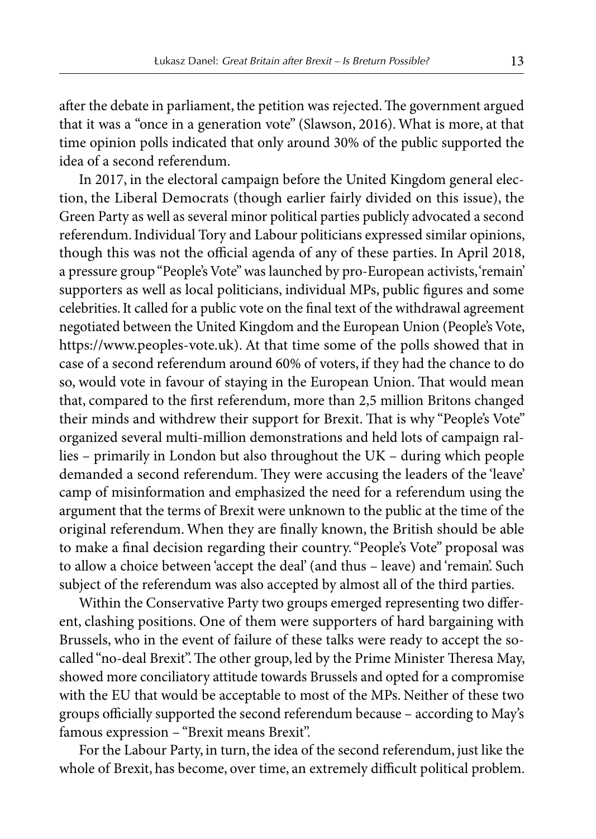after the debate in parliament, the petition was rejected. The government argued that it was a "once in a generation vote" (Slawson, 2016). What is more, at that time opinion polls indicated that only around 30% of the public supported the idea of a second referendum.

In 2017, in the electoral campaign before the United Kingdom general election, the Liberal Democrats (though earlier fairly divided on this issue), the Green Party as well as several minor political parties publicly advocated a second referendum. Individual Tory and Labour politicians expressed similar opinions, though this was not the official agenda of any of these parties. In April 2018, a pressure group "People's Vote" was launched by pro-European activists, 'remain' supporters as well as local politicians, individual MPs, public figures and some celebrities. It called for a public vote on the final text of the withdrawal agreement negotiated between the United Kingdom and the European Union (People's Vote, https://www.peoples-vote.uk). At that time some of the polls showed that in case of a second referendum around 60% of voters, if they had the chance to do so, would vote in favour of staying in the European Union. That would mean that, compared to the first referendum, more than 2,5 million Britons changed their minds and withdrew their support for Brexit. That is why "People's Vote" organized several multi-million demonstrations and held lots of campaign rallies – primarily in London but also throughout the UK – during which people demanded a second referendum. They were accusing the leaders of the 'leave' camp of misinformation and emphasized the need for a referendum using the argument that the terms of Brexit were unknown to the public at the time of the original referendum. When they are finally known, the British should be able to make a final decision regarding their country. "People's Vote" proposal was to allow a choice between 'accept the deal' (and thus – leave) and 'remain'. Such subject of the referendum was also accepted by almost all of the third parties.

Within the Conservative Party two groups emerged representing two different, clashing positions. One of them were supporters of hard bargaining with Brussels, who in the event of failure of these talks were ready to accept the socalled "no-deal Brexit". The other group, led by the Prime Minister Theresa May, showed more conciliatory attitude towards Brussels and opted for a compromise with the EU that would be acceptable to most of the MPs. Neither of these two groups officially supported the second referendum because – according to May's famous expression – "Brexit means Brexit".

For the Labour Party, in turn, the idea of the second referendum, just like the whole of Brexit, has become, over time, an extremely difficult political problem.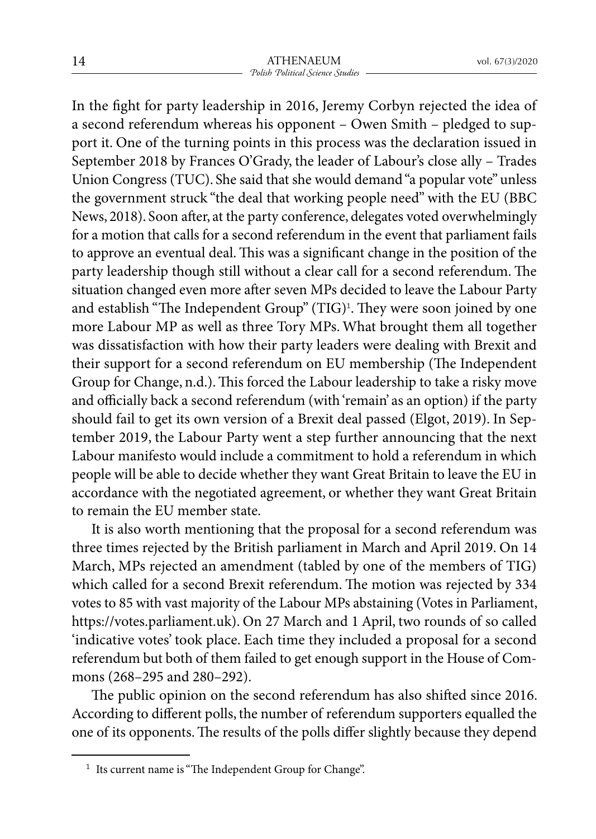In the fight for party leadership in 2016, Jeremy Corbyn rejected the idea of a second referendum whereas his opponent – Owen Smith – pledged to support it. One of the turning points in this process was the declaration issued in September 2018 by Frances O'Grady, the leader of Labour's close ally – Trades Union Congress (TUC). She said that she would demand "a popular vote" unless the government struck "the deal that working people need" with the EU (BBC News, 2018). Soon after, at the party conference, delegates voted overwhelmingly for a motion that calls for a second referendum in the event that parliament fails to approve an eventual deal. This was a significant change in the position of the party leadership though still without a clear call for a second referendum. The situation changed even more after seven MPs decided to leave the Labour Party and establish "The Independent Group" (TIG)<sup>1</sup> . They were soon joined by one more Labour MP as well as three Tory MPs. What brought them all together was dissatisfaction with how their party leaders were dealing with Brexit and their support for a second referendum on EU membership (The Independent Group for Change, n.d.). This forced the Labour leadership to take a risky move and officially back a second referendum (with 'remain' as an option) if the party should fail to get its own version of a Brexit deal passed (Elgot, 2019). In September 2019, the Labour Party went a step further announcing that the next Labour manifesto would include a commitment to hold a referendum in which people will be able to decide whether they want Great Britain to leave the EU in accordance with the negotiated agreement, or whether they want Great Britain to remain the EU member state.

It is also worth mentioning that the proposal for a second referendum was three times rejected by the British parliament in March and April 2019. On 14 March, MPs rejected an amendment (tabled by one of the members of TIG) which called for a second Brexit referendum. The motion was rejected by 334 votes to 85 with vast majority of the Labour MPs abstaining (Votes in Parliament, https://votes.parliament.uk). On 27 March and 1 April, two rounds of so called 'indicative votes' took place. Each time they included a proposal for a second referendum but both of them failed to get enough support in the House of Commons (268–295 and 280–292).

The public opinion on the second referendum has also shifted since 2016. According to different polls, the number of referendum supporters equalled the one of its opponents. The results of the polls differ slightly because they depend

 $^{\rm 1}$  Its current name is "The Independent Group for Change".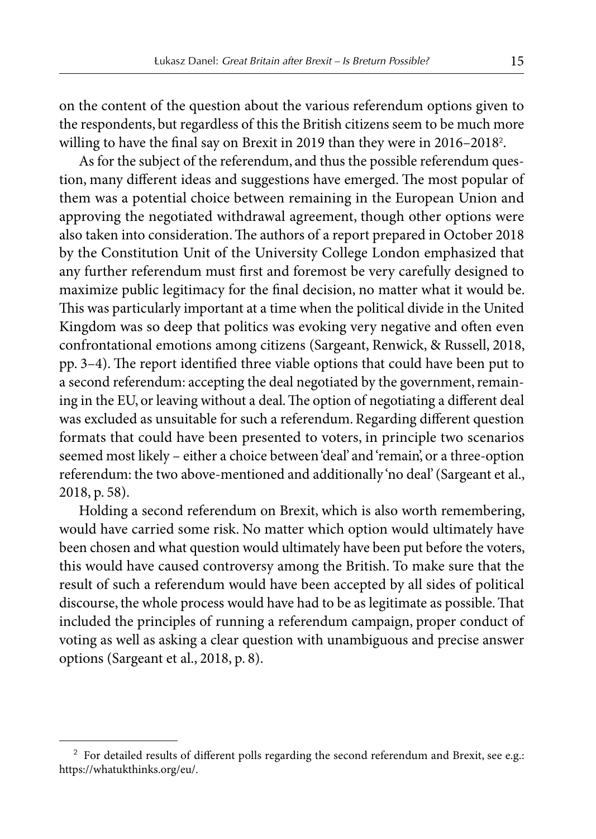on the content of the question about the various referendum options given to the respondents, but regardless of this the British citizens seem to be much more willing to have the final say on Brexit in 2019 than they were in 2016–2018<sup>2</sup> .

As for the subject of the referendum, and thus the possible referendum question, many different ideas and suggestions have emerged. The most popular of them was a potential choice between remaining in the European Union and approving the negotiated withdrawal agreement, though other options were also taken into consideration. The authors of a report prepared in October 2018 by the Constitution Unit of the University College London emphasized that any further referendum must first and foremost be very carefully designed to maximize public legitimacy for the final decision, no matter what it would be. This was particularly important at a time when the political divide in the United Kingdom was so deep that politics was evoking very negative and often even confrontational emotions among citizens (Sargeant, Renwick, & Russell, 2018, pp. 3–4). The report identified three viable options that could have been put to a second referendum: accepting the deal negotiated by the government, remaining in the EU, or leaving without a deal. The option of negotiating a different deal was excluded as unsuitable for such a referendum. Regarding different question formats that could have been presented to voters, in principle two scenarios seemed most likely – either a choice between 'deal' and 'remain', or a three-option referendum: the two above-mentioned and additionally 'no deal' (Sargeant et al., 2018, p. 58).

Holding a second referendum on Brexit, which is also worth remembering, would have carried some risk. No matter which option would ultimately have been chosen and what question would ultimately have been put before the voters, this would have caused controversy among the British. To make sure that the result of such a referendum would have been accepted by all sides of political discourse, the whole process would have had to be as legitimate as possible. That included the principles of running a referendum campaign, proper conduct of voting as well as asking a clear question with unambiguous and precise answer options (Sargeant et al., 2018, p. 8).

 $2$  For detailed results of different polls regarding the second referendum and Brexit, see e.g.: https://whatukthinks.org/eu/.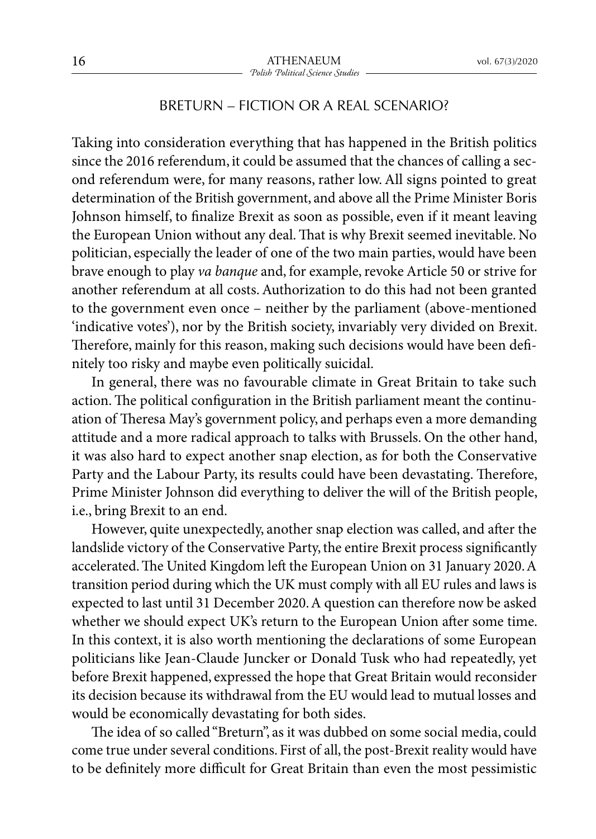## BRETURN – FICTION OR A REAL SCENARIO?

Taking into consideration everything that has happened in the British politics since the 2016 referendum, it could be assumed that the chances of calling a second referendum were, for many reasons, rather low. All signs pointed to great determination of the British government, and above all the Prime Minister Boris Johnson himself, to finalize Brexit as soon as possible, even if it meant leaving the European Union without any deal. That is why Brexit seemed inevitable. No politician, especially the leader of one of the two main parties, would have been brave enough to play *va banque* and, for example, revoke Article 50 or strive for another referendum at all costs. Authorization to do this had not been granted to the government even once – neither by the parliament (above-mentioned 'indicative votes'), nor by the British society, invariably very divided on Brexit. Therefore, mainly for this reason, making such decisions would have been definitely too risky and maybe even politically suicidal.

In general, there was no favourable climate in Great Britain to take such action. The political configuration in the British parliament meant the continuation of Theresa May's government policy, and perhaps even a more demanding attitude and a more radical approach to talks with Brussels. On the other hand, it was also hard to expect another snap election, as for both the Conservative Party and the Labour Party, its results could have been devastating. Therefore, Prime Minister Johnson did everything to deliver the will of the British people, i.e., bring Brexit to an end.

However, quite unexpectedly, another snap election was called, and after the landslide victory of the Conservative Party, the entire Brexit process significantly accelerated. The United Kingdom left the European Union on 31 January 2020. A transition period during which the UK must comply with all EU rules and laws is expected to last until 31 December 2020. A question can therefore now be asked whether we should expect UK's return to the European Union after some time. In this context, it is also worth mentioning the declarations of some European politicians like Jean-Claude Juncker or Donald Tusk who had repeatedly, yet before Brexit happened, expressed the hope that Great Britain would reconsider its decision because its withdrawal from the EU would lead to mutual losses and would be economically devastating for both sides.

The idea of so called "Breturn", as it was dubbed on some social media, could come true under several conditions. First of all, the post-Brexit reality would have to be definitely more difficult for Great Britain than even the most pessimistic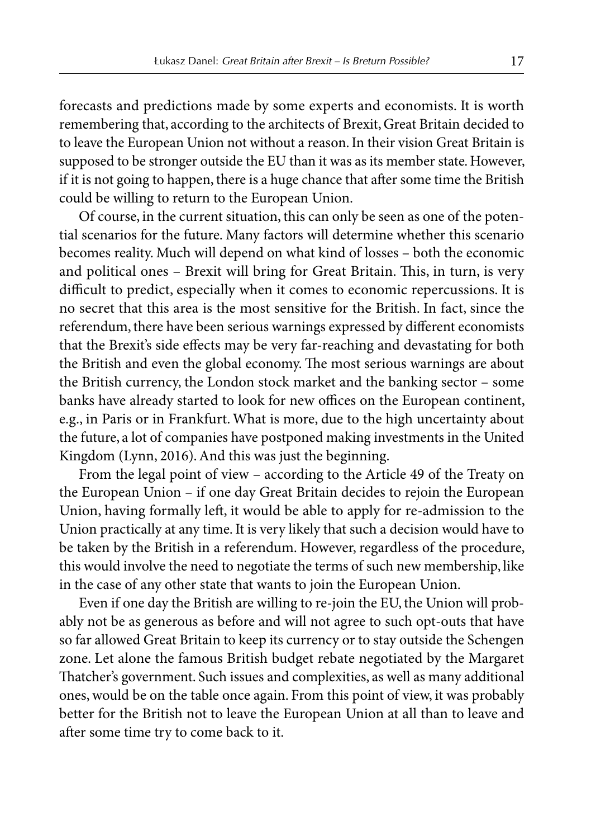forecasts and predictions made by some experts and economists. It is worth remembering that, according to the architects of Brexit, Great Britain decided to to leave the European Union not without a reason. In their vision Great Britain is supposed to be stronger outside the EU than it was as its member state. However, if it is not going to happen, there is a huge chance that after some time the British could be willing to return to the European Union.

Of course, in the current situation, this can only be seen as one of the potential scenarios for the future. Many factors will determine whether this scenario becomes reality. Much will depend on what kind of losses – both the economic and political ones – Brexit will bring for Great Britain. This, in turn, is very difficult to predict, especially when it comes to economic repercussions. It is no secret that this area is the most sensitive for the British. In fact, since the referendum, there have been serious warnings expressed by different economists that the Brexit's side effects may be very far-reaching and devastating for both the British and even the global economy. The most serious warnings are about the British currency, the London stock market and the banking sector – some banks have already started to look for new offices on the European continent, e.g., in Paris or in Frankfurt. What is more, due to the high uncertainty about the future, a lot of companies have postponed making investments in the United Kingdom (Lynn, 2016). And this was just the beginning.

From the legal point of view – according to the Article 49 of the Treaty on the European Union – if one day Great Britain decides to rejoin the European Union, having formally left, it would be able to apply for re-admission to the Union practically at any time. It is very likely that such a decision would have to be taken by the British in a referendum. However, regardless of the procedure, this would involve the need to negotiate the terms of such new membership, like in the case of any other state that wants to join the European Union.

Even if one day the British are willing to re-join the EU, the Union will probably not be as generous as before and will not agree to such opt-outs that have so far allowed Great Britain to keep its currency or to stay outside the Schengen zone. Let alone the famous British budget rebate negotiated by the Margaret Thatcher's government. Such issues and complexities, as well as many additional ones, would be on the table once again. From this point of view, it was probably better for the British not to leave the European Union at all than to leave and after some time try to come back to it.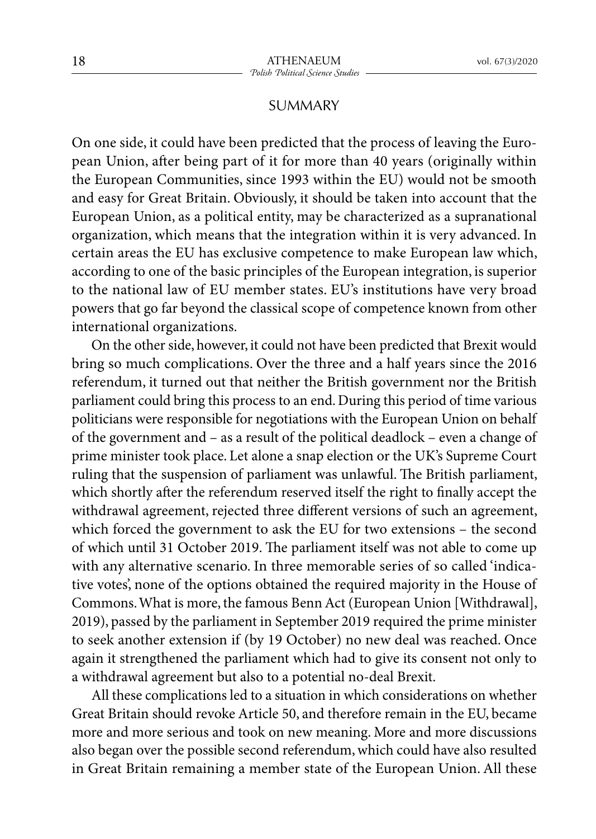## SUMMARY

On one side, it could have been predicted that the process of leaving the European Union, after being part of it for more than 40 years (originally within the European Communities, since 1993 within the EU) would not be smooth and easy for Great Britain. Obviously, it should be taken into account that the European Union, as a political entity, may be characterized as a supranational organization, which means that the integration within it is very advanced. In certain areas the EU has exclusive competence to make European law which, according to one of the basic principles of the European integration, is superior to the national law of EU member states. EU's institutions have very broad powers that go far beyond the classical scope of competence known from other international organizations.

On the other side, however, it could not have been predicted that Brexit would bring so much complications. Over the three and a half years since the 2016 referendum, it turned out that neither the British government nor the British parliament could bring this process to an end. During this period of time various politicians were responsible for negotiations with the European Union on behalf of the government and – as a result of the political deadlock – even a change of prime minister took place. Let alone a snap election or the UK's Supreme Court ruling that the suspension of parliament was unlawful. The British parliament, which shortly after the referendum reserved itself the right to finally accept the withdrawal agreement, rejected three different versions of such an agreement, which forced the government to ask the EU for two extensions – the second of which until 31 October 2019. The parliament itself was not able to come up with any alternative scenario. In three memorable series of so called 'indicative votes', none of the options obtained the required majority in the House of Commons. What is more, the famous Benn Act (European Union [Withdrawal], 2019), passed by the parliament in September 2019 required the prime minister to seek another extension if (by 19 October) no new deal was reached. Once again it strengthened the parliament which had to give its consent not only to a withdrawal agreement but also to a potential no-deal Brexit.

All these complications led to a situation in which considerations on whether Great Britain should revoke Article 50, and therefore remain in the EU, became more and more serious and took on new meaning. More and more discussions also began over the possible second referendum, which could have also resulted in Great Britain remaining a member state of the European Union. All these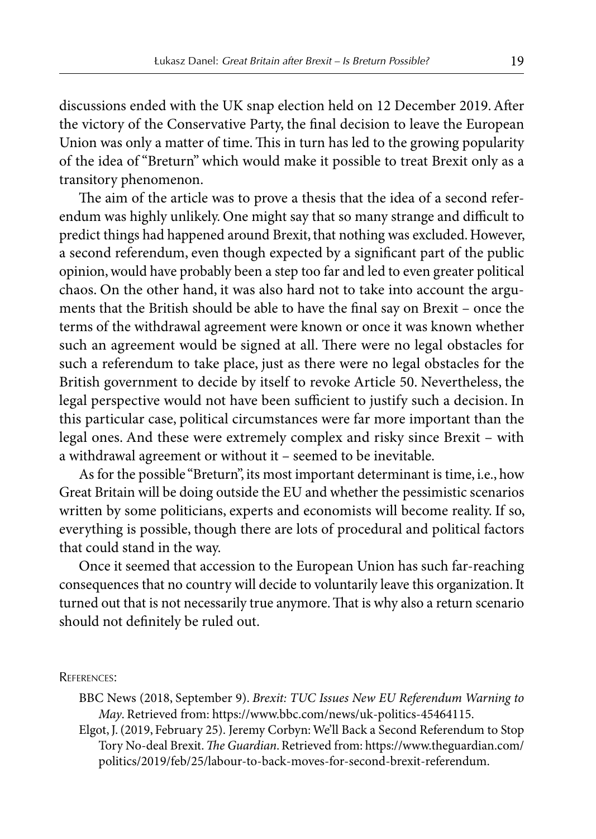discussions ended with the UK snap election held on 12 December 2019. After the victory of the Conservative Party, the final decision to leave the European Union was only a matter of time. This in turn has led to the growing popularity of the idea of "Breturn" which would make it possible to treat Brexit only as a transitory phenomenon.

The aim of the article was to prove a thesis that the idea of a second referendum was highly unlikely. One might say that so many strange and difficult to predict things had happened around Brexit, that nothing was excluded. However, a second referendum, even though expected by a significant part of the public opinion, would have probably been a step too far and led to even greater political chaos. On the other hand, it was also hard not to take into account the arguments that the British should be able to have the final say on Brexit – once the terms of the withdrawal agreement were known or once it was known whether such an agreement would be signed at all. There were no legal obstacles for such a referendum to take place, just as there were no legal obstacles for the British government to decide by itself to revoke Article 50. Nevertheless, the legal perspective would not have been sufficient to justify such a decision. In this particular case, political circumstances were far more important than the legal ones. And these were extremely complex and risky since Brexit – with a withdrawal agreement or without it – seemed to be inevitable.

As for the possible "Breturn", its most important determinant is time, i.e., how Great Britain will be doing outside the EU and whether the pessimistic scenarios written by some politicians, experts and economists will become reality. If so, everything is possible, though there are lots of procedural and political factors that could stand in the way.

Once it seemed that accession to the European Union has such far-reaching consequences that no country will decide to voluntarily leave this organization. It turned out that is not necessarily true anymore. That is why also a return scenario should not definitely be ruled out.

References:

- BBC News (2018, September 9). *Brexit: TUC Issues New EU Referendum Warning to May*. Retrieved from: https://www.bbc.com/news/uk-politics-45464115.
- Elgot, J. (2019, February 25). Jeremy Corbyn: We'll Back a Second Referendum to Stop Tory No-deal Brexit.*The Guardian*. Retrieved from: https://www.theguardian.com/ politics/2019/feb/25/labour-to-back-moves-for-second-brexit-referendum.